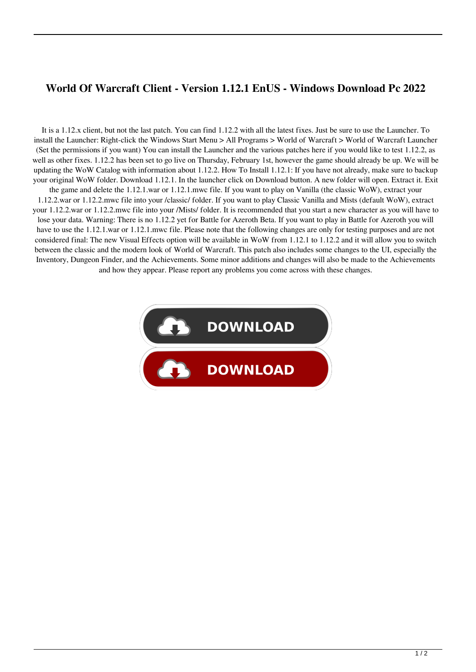## **World Of Warcraft Client - Version 1.12.1 EnUS - Windows Download Pc 2022**

It is a 1.12.x client, but not the last patch. You can find 1.12.2 with all the latest fixes. Just be sure to use the Launcher. To install the Launcher: Right-click the Windows Start Menu > All Programs > World of Warcraft > World of Warcraft Launcher (Set the permissions if you want) You can install the Launcher and the various patches here if you would like to test 1.12.2, as well as other fixes. 1.12.2 has been set to go live on Thursday, February 1st, however the game should already be up. We will be updating the WoW Catalog with information about 1.12.2. How To Install 1.12.1: If you have not already, make sure to backup your original WoW folder. Download 1.12.1. In the launcher click on Download button. A new folder will open. Extract it. Exit the game and delete the 1.12.1.war or 1.12.1.mwc file. If you want to play on Vanilla (the classic WoW), extract your 1.12.2.war or 1.12.2.mwc file into your /classic/ folder. If you want to play Classic Vanilla and Mists (default WoW), extract your 1.12.2.war or 1.12.2.mwc file into your /Mists/ folder. It is recommended that you start a new character as you will have to lose your data. Warning: There is no 1.12.2 yet for Battle for Azeroth Beta. If you want to play in Battle for Azeroth you will have to use the 1.12.1.war or 1.12.1.mwc file. Please note that the following changes are only for testing purposes and are not considered final: The new Visual Effects option will be available in WoW from 1.12.1 to 1.12.2 and it will allow you to switch between the classic and the modern look of World of Warcraft. This patch also includes some changes to the UI, especially the Inventory, Dungeon Finder, and the Achievements. Some minor additions and changes will also be made to the Achievements and how they appear. Please report any problems you come across with these changes.